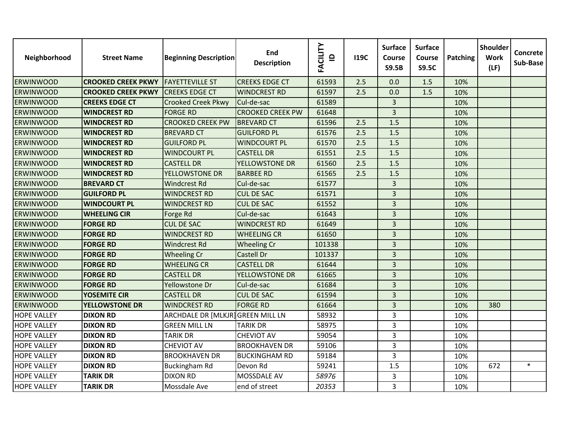| Neighborhood       | <b>Street Name</b>        | <b>Beginning Description</b>      | End<br><b>Description</b> | <b>FACILITY</b><br>$\mathbf{P}$ | <b>I19C</b> | <b>Surface</b><br>Course<br><b>S9.5B</b> | <b>Surface</b><br>Course<br><b>S9.5C</b> | <b>Patching</b> | Shoulder<br><b>Work</b><br>(LF) | Concrete<br>Sub-Base |
|--------------------|---------------------------|-----------------------------------|---------------------------|---------------------------------|-------------|------------------------------------------|------------------------------------------|-----------------|---------------------------------|----------------------|
| <b>ERWINWOOD</b>   | <b>CROOKED CREEK PKWY</b> | <b>FAYETTEVILLE ST</b>            | <b>CREEKS EDGE CT</b>     | 61593                           | 2.5         | 0.0                                      | 1.5                                      | 10%             |                                 |                      |
| <b>ERWINWOOD</b>   | <b>CROOKED CREEK PKWY</b> | <b>CREEKS EDGE CT</b>             | <b>WINDCREST RD</b>       | 61597                           | 2.5         | 0.0                                      | 1.5                                      | 10%             |                                 |                      |
| <b>ERWINWOOD</b>   | <b>CREEKS EDGE CT</b>     | Crooked Creek Pkwy                | Cul-de-sac                | 61589                           |             | $\overline{3}$                           |                                          | 10%             |                                 |                      |
| <b>ERWINWOOD</b>   | <b>WINDCREST RD</b>       | <b>FORGE RD</b>                   | <b>CROOKED CREEK PW</b>   | 61648                           |             | $\overline{3}$                           |                                          | 10%             |                                 |                      |
| <b>ERWINWOOD</b>   | <b>WINDCREST RD</b>       | <b>CROOKED CREEK PW</b>           | <b>BREVARD CT</b>         | 61596                           | 2.5         | 1.5                                      |                                          | 10%             |                                 |                      |
| <b>ERWINWOOD</b>   | <b>WINDCREST RD</b>       | <b>BREVARD CT</b>                 | <b>GUILFORD PL</b>        | 61576                           | 2.5         | 1.5                                      |                                          | 10%             |                                 |                      |
| ERWINWOOD          | <b>WINDCREST RD</b>       | <b>GUILFORD PL</b>                | <b>WINDCOURT PL</b>       | 61570                           | 2.5         | 1.5                                      |                                          | 10%             |                                 |                      |
| <b>ERWINWOOD</b>   | <b>WINDCREST RD</b>       | <b>WINDCOURT PL</b>               | <b>CASTELL DR</b>         | 61551                           | 2.5         | 1.5                                      |                                          | 10%             |                                 |                      |
| <b>ERWINWOOD</b>   | <b>WINDCREST RD</b>       | <b>CASTELL DR</b>                 | YELLOWSTONE DR            | 61560                           | 2.5         | 1.5                                      |                                          | 10%             |                                 |                      |
| <b>ERWINWOOD</b>   | <b>WINDCREST RD</b>       | YELLOWSTONE DR                    | <b>BARBEE RD</b>          | 61565                           | 2.5         | 1.5                                      |                                          | 10%             |                                 |                      |
| <b>ERWINWOOD</b>   | <b>BREVARD CT</b>         | <b>Windcrest Rd</b>               | Cul-de-sac                | 61577                           |             | $\overline{3}$                           |                                          | 10%             |                                 |                      |
| <b>ERWINWOOD</b>   | <b>GUILFORD PL</b>        | <b>WINDCREST RD</b>               | <b>CUL DE SAC</b>         | 61571                           |             | $\overline{3}$                           |                                          | 10%             |                                 |                      |
| <b>ERWINWOOD</b>   | <b>WINDCOURT PL</b>       | <b>WINDCREST RD</b>               | <b>CUL DE SAC</b>         | 61552                           |             | $\overline{3}$                           |                                          | 10%             |                                 |                      |
| <b>ERWINWOOD</b>   | <b>WHEELING CIR</b>       | Forge Rd                          | Cul-de-sac                | 61643                           |             | 3                                        |                                          | 10%             |                                 |                      |
| <b>ERWINWOOD</b>   | <b>FORGE RD</b>           | <b>CUL DE SAC</b>                 | <b>WINDCREST RD</b>       | 61649                           |             | 3                                        |                                          | 10%             |                                 |                      |
| <b>ERWINWOOD</b>   | <b>FORGE RD</b>           | <b>WINDCREST RD</b>               | <b>WHEELING CR</b>        | 61650                           |             | $\overline{3}$                           |                                          | 10%             |                                 |                      |
| <b>ERWINWOOD</b>   | <b>FORGE RD</b>           | <b>Windcrest Rd</b>               | <b>Wheeling Cr</b>        | 101338                          |             | $\overline{3}$                           |                                          | 10%             |                                 |                      |
| <b>ERWINWOOD</b>   | <b>FORGE RD</b>           | <b>Wheeling Cr</b>                | Castell Dr                | 101337                          |             | 3                                        |                                          | 10%             |                                 |                      |
| ERWINWOOD          | <b>FORGE RD</b>           | <b>WHEELING CR</b>                | <b>CASTELL DR</b>         | 61644                           |             | $\overline{3}$                           |                                          | 10%             |                                 |                      |
| <b>ERWINWOOD</b>   | <b>FORGE RD</b>           | <b>CASTELL DR</b>                 | YELLOWSTONE DR            | 61665                           |             | 3                                        |                                          | 10%             |                                 |                      |
| <b>ERWINWOOD</b>   | <b>FORGE RD</b>           | Yellowstone Dr                    | Cul-de-sac                | 61684                           |             | $\overline{3}$                           |                                          | 10%             |                                 |                      |
| <b>ERWINWOOD</b>   | <b>YOSEMITE CIR</b>       | <b>CASTELL DR</b>                 | <b>CUL DE SAC</b>         | 61594                           |             | $\overline{3}$                           |                                          | 10%             |                                 |                      |
| <b>ERWINWOOD</b>   | <b>YELLOWSTONE DR</b>     | <b>WINDCREST RD</b>               | <b>FORGE RD</b>           | 61664                           |             | 3                                        |                                          | 10%             | 380                             |                      |
| <b>HOPE VALLEY</b> | <b>DIXON RD</b>           | ARCHDALE DR [MLKJR] GREEN MILL LN |                           | 58932                           |             | 3                                        |                                          | 10%             |                                 |                      |
| <b>HOPE VALLEY</b> | <b>DIXON RD</b>           | <b>GREEN MILL LN</b>              | <b>TARIK DR</b>           | 58975                           |             | 3                                        |                                          | 10%             |                                 |                      |
| <b>HOPE VALLEY</b> | <b>DIXON RD</b>           | <b>TARIK DR</b>                   | <b>CHEVIOT AV</b>         | 59054                           |             | 3                                        |                                          | 10%             |                                 |                      |
| <b>HOPE VALLEY</b> | <b>DIXON RD</b>           | <b>CHEVIOT AV</b>                 | <b>BROOKHAVEN DR</b>      | 59106                           |             | 3                                        |                                          | 10%             |                                 |                      |
| <b>HOPE VALLEY</b> | <b>DIXON RD</b>           | <b>BROOKHAVEN DR</b>              | <b>BUCKINGHAM RD</b>      | 59184                           |             | 3                                        |                                          | 10%             |                                 |                      |
| <b>HOPE VALLEY</b> | <b>DIXON RD</b>           | <b>Buckingham Rd</b>              | Devon Rd                  | 59241                           |             | 1.5                                      |                                          | 10%             | 672                             | $\ast$               |
| <b>HOPE VALLEY</b> | <b>TARIK DR</b>           | <b>DIXON RD</b>                   | MOSSDALE AV               | 58976                           |             | 3                                        |                                          | 10%             |                                 |                      |
| <b>HOPE VALLEY</b> | <b>TARIK DR</b>           | Mossdale Ave                      | end of street             | 20353                           |             | $\overline{3}$                           |                                          | 10%             |                                 |                      |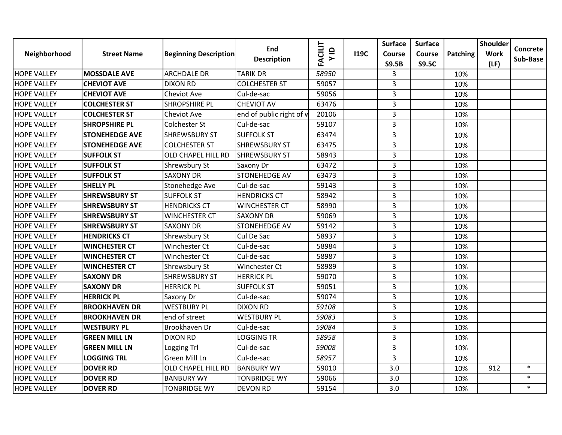| Neighborhood       | <b>Street Name</b>    | <b>Beginning Description</b> | End<br><b>Description</b> | <b>FACILIT</b><br>$\frac{1}{2}$ | <b>119C</b> | <b>Surface</b><br>Course<br><b>S9.5B</b> | <b>Surface</b><br>Course<br><b>S9.5C</b> | Patching | <b>Shoulder</b><br><b>Work</b><br>(LF) | Concrete<br>Sub-Base |
|--------------------|-----------------------|------------------------------|---------------------------|---------------------------------|-------------|------------------------------------------|------------------------------------------|----------|----------------------------------------|----------------------|
| <b>HOPE VALLEY</b> | <b>MOSSDALE AVE</b>   | <b>ARCHDALE DR</b>           | <b>TARIK DR</b>           | 58950                           |             | 3                                        |                                          | 10%      |                                        |                      |
| <b>HOPE VALLEY</b> | <b>CHEVIOT AVE</b>    | <b>DIXON RD</b>              | <b>COLCHESTER ST</b>      | 59057                           |             | 3                                        |                                          | 10%      |                                        |                      |
| <b>HOPE VALLEY</b> | <b>CHEVIOT AVE</b>    | <b>Cheviot Ave</b>           | Cul-de-sac                | 59056                           |             | 3                                        |                                          | 10%      |                                        |                      |
| <b>HOPE VALLEY</b> | <b>COLCHESTER ST</b>  | <b>SHROPSHIRE PL</b>         | <b>CHEVIOT AV</b>         | 63476                           |             | 3                                        |                                          | 10%      |                                        |                      |
| <b>HOPE VALLEY</b> | <b>COLCHESTER ST</b>  | <b>Cheviot Ave</b>           | end of public right of w  | 20106                           |             | 3                                        |                                          | 10%      |                                        |                      |
| <b>HOPE VALLEY</b> | <b>SHROPSHIRE PL</b>  | <b>Colchester St</b>         | Cul-de-sac                | 59107                           |             | 3                                        |                                          | 10%      |                                        |                      |
| <b>HOPE VALLEY</b> | <b>STONEHEDGE AVE</b> | <b>SHREWSBURY ST</b>         | <b>SUFFOLK ST</b>         | 63474                           |             | $\overline{3}$                           |                                          | 10%      |                                        |                      |
| <b>HOPE VALLEY</b> | <b>STONEHEDGE AVE</b> | <b>COLCHESTER ST</b>         | <b>SHREWSBURY ST</b>      | 63475                           |             | 3                                        |                                          | 10%      |                                        |                      |
| <b>HOPE VALLEY</b> | <b>SUFFOLK ST</b>     | OLD CHAPEL HILL RD           | <b>SHREWSBURY ST</b>      | 58943                           |             | 3                                        |                                          | 10%      |                                        |                      |
| <b>HOPE VALLEY</b> | <b>SUFFOLK ST</b>     | Shrewsbury St                | Saxony Dr                 | 63472                           |             | $\overline{3}$                           |                                          | 10%      |                                        |                      |
| <b>HOPE VALLEY</b> | <b>SUFFOLK ST</b>     | <b>SAXONY DR</b>             | <b>STONEHEDGE AV</b>      | 63473                           |             | 3                                        |                                          | 10%      |                                        |                      |
| <b>HOPE VALLEY</b> | <b>SHELLY PL</b>      | Stonehedge Ave               | Cul-de-sac                | 59143                           |             | $\overline{3}$                           |                                          | 10%      |                                        |                      |
| <b>HOPE VALLEY</b> | <b>SHREWSBURY ST</b>  | <b>SUFFOLK ST</b>            | <b>HENDRICKS CT</b>       | 58942                           |             | 3                                        |                                          | 10%      |                                        |                      |
| <b>HOPE VALLEY</b> | <b>SHREWSBURY ST</b>  | <b>HENDRICKS CT</b>          | <b>WINCHESTER CT</b>      | 58990                           |             | $\overline{3}$                           |                                          | 10%      |                                        |                      |
| <b>HOPE VALLEY</b> | <b>SHREWSBURY ST</b>  | <b>WINCHESTER CT</b>         | <b>SAXONY DR</b>          | 59069                           |             | 3                                        |                                          | 10%      |                                        |                      |
| <b>HOPE VALLEY</b> | <b>SHREWSBURY ST</b>  | <b>SAXONY DR</b>             | <b>STONEHEDGE AV</b>      | 59142                           |             | 3                                        |                                          | 10%      |                                        |                      |
| <b>HOPE VALLEY</b> | <b>HENDRICKS CT</b>   | Shrewsbury St                | Cul De Sac                | 58937                           |             | 3                                        |                                          | 10%      |                                        |                      |
| <b>HOPE VALLEY</b> | <b>WINCHESTER CT</b>  | <b>Winchester Ct</b>         | Cul-de-sac                | 58984                           |             | $\overline{3}$                           |                                          | 10%      |                                        |                      |
| <b>HOPE VALLEY</b> | <b>WINCHESTER CT</b>  | <b>Winchester Ct</b>         | Cul-de-sac                | 58987                           |             | 3                                        |                                          | 10%      |                                        |                      |
| <b>HOPE VALLEY</b> | <b>WINCHESTER CT</b>  | Shrewsbury St                | <b>Winchester Ct</b>      | 58989                           |             | 3                                        |                                          | 10%      |                                        |                      |
| <b>HOPE VALLEY</b> | <b>SAXONY DR</b>      | <b>SHREWSBURY ST</b>         | <b>HERRICK PL</b>         | 59070                           |             | 3                                        |                                          | 10%      |                                        |                      |
| <b>HOPE VALLEY</b> | <b>SAXONY DR</b>      | <b>HERRICK PL</b>            | <b>SUFFOLK ST</b>         | 59051                           |             | $\overline{3}$                           |                                          | 10%      |                                        |                      |
| <b>HOPE VALLEY</b> | <b>HERRICK PL</b>     | Saxony Dr                    | Cul-de-sac                | 59074                           |             | 3                                        |                                          | 10%      |                                        |                      |
| <b>HOPE VALLEY</b> | <b>BROOKHAVEN DR</b>  | <b>WESTBURY PL</b>           | <b>DIXON RD</b>           | 59108                           |             | 3                                        |                                          | 10%      |                                        |                      |
| <b>HOPE VALLEY</b> | <b>BROOKHAVEN DR</b>  | end of street                | <b>WESTBURY PL</b>        | 59083                           |             | 3                                        |                                          | 10%      |                                        |                      |
| <b>HOPE VALLEY</b> | <b>WESTBURY PL</b>    | Brookhaven Dr                | Cul-de-sac                | 59084                           |             | 3                                        |                                          | 10%      |                                        |                      |
| <b>HOPE VALLEY</b> | <b>GREEN MILL LN</b>  | <b>DIXON RD</b>              | <b>LOGGING TR</b>         | 58958                           |             | 3                                        |                                          | 10%      |                                        |                      |
| <b>HOPE VALLEY</b> | <b>GREEN MILL LN</b>  | Logging Trl                  | Cul-de-sac                | 59008                           |             | 3                                        |                                          | 10%      |                                        |                      |
| <b>HOPE VALLEY</b> | <b>LOGGING TRL</b>    | Green Mill Ln                | Cul-de-sac                | 58957                           |             | 3                                        |                                          | 10%      |                                        |                      |
| <b>HOPE VALLEY</b> | <b>DOVER RD</b>       | <b>OLD CHAPEL HILL RD</b>    | <b>BANBURY WY</b>         | 59010                           |             | 3.0                                      |                                          | 10%      | 912                                    | $\ast$               |
| <b>HOPE VALLEY</b> | <b>DOVER RD</b>       | <b>BANBURY WY</b>            | <b>TONBRIDGE WY</b>       | 59066                           |             | 3.0                                      |                                          | 10%      |                                        | $\ast$               |
| <b>HOPE VALLEY</b> | <b>DOVER RD</b>       | <b>TONBRIDGE WY</b>          | <b>DEVON RD</b>           | 59154                           |             | 3.0                                      |                                          | 10%      |                                        | $\ast$               |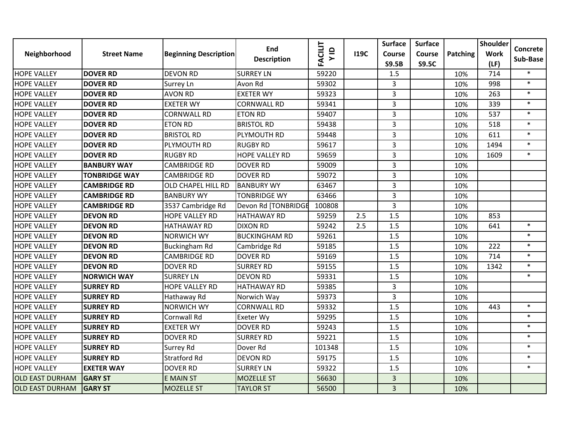| Neighborhood           | <b>Street Name</b>   | <b>Beginning Description</b> | End<br><b>Description</b> | <b>FACILIT</b><br>$\frac{1}{2}$ | <b>I19C</b> | <b>Surface</b><br>Course<br><b>S9.5B</b> | <b>Surface</b><br>Course<br><b>S9.5C</b> | Patching | <b>Shoulder</b><br><b>Work</b> | Concrete<br>Sub-Base |
|------------------------|----------------------|------------------------------|---------------------------|---------------------------------|-------------|------------------------------------------|------------------------------------------|----------|--------------------------------|----------------------|
| <b>HOPE VALLEY</b>     | <b>DOVER RD</b>      | <b>DEVON RD</b>              | <b>SURREY LN</b>          | 59220                           |             | 1.5                                      |                                          | 10%      | (LF)<br>714                    | $\ast$               |
| <b>HOPE VALLEY</b>     | <b>DOVER RD</b>      | <b>Surrey Ln</b>             | Avon Rd                   | 59302                           |             | 3                                        |                                          | 10%      | 998                            | $\ast$               |
| <b>HOPE VALLEY</b>     | <b>DOVER RD</b>      | <b>AVON RD</b>               | <b>EXETER WY</b>          | 59323                           |             | $\overline{3}$                           |                                          | 10%      | 263                            | $\ast$               |
| <b>HOPE VALLEY</b>     | <b>DOVER RD</b>      | <b>EXETER WY</b>             | <b>CORNWALL RD</b>        | 59341                           |             | 3                                        |                                          | 10%      | 339                            | $\ast$               |
| <b>HOPE VALLEY</b>     | <b>DOVER RD</b>      | <b>CORNWALL RD</b>           | <b>ETON RD</b>            | 59407                           |             | 3                                        |                                          | 10%      | 537                            | $\ast$               |
| <b>HOPE VALLEY</b>     | <b>DOVER RD</b>      | <b>ETON RD</b>               | <b>BRISTOL RD</b>         | 59438                           |             | $\overline{3}$                           |                                          | 10%      | 518                            | $\ast$               |
| <b>HOPE VALLEY</b>     | <b>DOVER RD</b>      | <b>BRISTOL RD</b>            | PLYMOUTH RD               | 59448                           |             | $\overline{3}$                           |                                          | 10%      | 611                            | $\ast$               |
| <b>HOPE VALLEY</b>     | <b>DOVER RD</b>      | PLYMOUTH RD                  | <b>RUGBY RD</b>           | 59617                           |             | 3                                        |                                          | 10%      | 1494                           | $\ast$               |
| <b>HOPE VALLEY</b>     | <b>DOVER RD</b>      | <b>RUGBY RD</b>              | <b>HOPE VALLEY RD</b>     | 59659                           |             | 3                                        |                                          | 10%      | 1609                           | $\ast$               |
| <b>HOPE VALLEY</b>     | <b>BANBURY WAY</b>   | <b>CAMBRIDGE RD</b>          | <b>DOVER RD</b>           | 59009                           |             | $\overline{3}$                           |                                          | 10%      |                                |                      |
| <b>HOPE VALLEY</b>     | <b>TONBRIDGE WAY</b> | <b>CAMBRIDGE RD</b>          | <b>DOVER RD</b>           | 59072                           |             | 3                                        |                                          | 10%      |                                |                      |
| <b>HOPE VALLEY</b>     | <b>CAMBRIDGE RD</b>  | <b>OLD CHAPEL HILL RD</b>    | <b>BANBURY WY</b>         | 63467                           |             | $\overline{\mathbf{3}}$                  |                                          | 10%      |                                |                      |
| <b>HOPE VALLEY</b>     | <b>CAMBRIDGE RD</b>  | <b>BANBURY WY</b>            | <b>TONBRIDGE WY</b>       | 63466                           |             | $\overline{3}$                           |                                          | 10%      |                                |                      |
| <b>HOPE VALLEY</b>     | <b>CAMBRIDGE RD</b>  | 3537 Cambridge Rd            | Devon Rd [TONBRIDGE       | 100808                          |             | $\overline{3}$                           |                                          | 10%      |                                |                      |
| <b>HOPE VALLEY</b>     | <b>DEVON RD</b>      | HOPE VALLEY RD               | <b>HATHAWAY RD</b>        | 59259                           | 2.5         | 1.5                                      |                                          | 10%      | 853                            |                      |
| <b>HOPE VALLEY</b>     | <b>DEVON RD</b>      | <b>HATHAWAY RD</b>           | <b>DIXON RD</b>           | 59242                           | 2.5         | 1.5                                      |                                          | 10%      | 641                            | $\ast$               |
| <b>HOPE VALLEY</b>     | <b>DEVON RD</b>      | <b>NORWICH WY</b>            | <b>BUCKINGHAM RD</b>      | 59261                           |             | 1.5                                      |                                          | 10%      |                                | $\ast$               |
| <b>HOPE VALLEY</b>     | <b>DEVON RD</b>      | <b>Buckingham Rd</b>         | Cambridge Rd              | 59185                           |             | 1.5                                      |                                          | 10%      | 222                            | $\ast$               |
| <b>HOPE VALLEY</b>     | <b>DEVON RD</b>      | <b>CAMBRIDGE RD</b>          | <b>DOVER RD</b>           | 59169                           |             | 1.5                                      |                                          | 10%      | 714                            | $\ast$               |
| <b>HOPE VALLEY</b>     | <b>DEVON RD</b>      | <b>DOVER RD</b>              | <b>SURREY RD</b>          | 59155                           |             | 1.5                                      |                                          | 10%      | 1342                           | $\ast$               |
| <b>HOPE VALLEY</b>     | <b>NORWICH WAY</b>   | <b>SURREY LN</b>             | <b>DEVON RD</b>           | 59331                           |             | 1.5                                      |                                          | 10%      |                                | $\ast$               |
| <b>HOPE VALLEY</b>     | <b>SURREY RD</b>     | <b>HOPE VALLEY RD</b>        | <b>HATHAWAY RD</b>        | 59385                           |             | 3                                        |                                          | 10%      |                                |                      |
| <b>HOPE VALLEY</b>     | <b>SURREY RD</b>     | Hathaway Rd                  | Norwich Way               | 59373                           |             | 3                                        |                                          | 10%      |                                |                      |
| <b>HOPE VALLEY</b>     | <b>SURREY RD</b>     | <b>NORWICH WY</b>            | <b>CORNWALL RD</b>        | 59332                           |             | 1.5                                      |                                          | 10%      | 443                            | $\ast$               |
| <b>HOPE VALLEY</b>     | <b>SURREY RD</b>     | Cornwall Rd                  | Exeter Wy                 | 59295                           |             | 1.5                                      |                                          | 10%      |                                | $\ast$               |
| <b>HOPE VALLEY</b>     | <b>SURREY RD</b>     | <b>EXETER WY</b>             | <b>DOVER RD</b>           | 59243                           |             | 1.5                                      |                                          | 10%      |                                | $\ast$               |
| <b>HOPE VALLEY</b>     | <b>SURREY RD</b>     | <b>DOVER RD</b>              | <b>SURREY RD</b>          | 59221                           |             | 1.5                                      |                                          | 10%      |                                | $\ast$               |
| <b>HOPE VALLEY</b>     | <b>SURREY RD</b>     | <b>Surrey Rd</b>             | Dover Rd                  | 101348                          |             | 1.5                                      |                                          | 10%      |                                | $\ast$               |
| <b>HOPE VALLEY</b>     | <b>SURREY RD</b>     | <b>Stratford Rd</b>          | <b>DEVON RD</b>           | 59175                           |             | 1.5                                      |                                          | 10%      |                                | $\ast$               |
| <b>HOPE VALLEY</b>     | <b>EXETER WAY</b>    | <b>DOVER RD</b>              | <b>SURREY LN</b>          | 59322                           |             | 1.5                                      |                                          | 10%      |                                | $\ast$               |
| <b>OLD EAST DURHAM</b> | <b>GARY ST</b>       | <b>E MAIN ST</b>             | <b>MOZELLE ST</b>         | 56630                           |             | $\overline{3}$                           |                                          | 10%      |                                |                      |
| <b>OLD EAST DURHAM</b> | <b>GARY ST</b>       | <b>MOZELLE ST</b>            | <b>TAYLOR ST</b>          | 56500                           |             | $\overline{3}$                           |                                          | 10%      |                                |                      |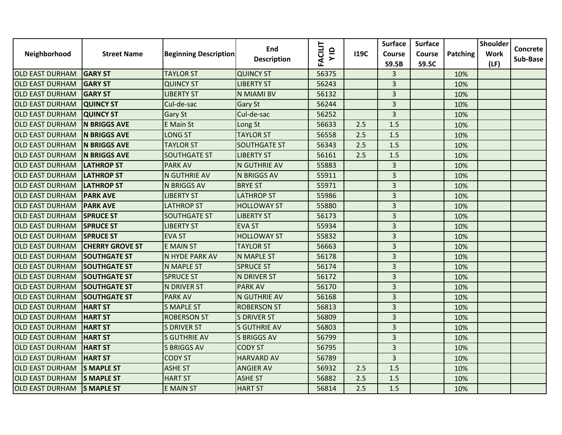|                        |                        |                              | End                 |                        |             | <b>Surface</b>          | <b>Surface</b> |          | <b>Shoulder</b> |                      |
|------------------------|------------------------|------------------------------|---------------------|------------------------|-------------|-------------------------|----------------|----------|-----------------|----------------------|
| Neighborhood           | <b>Street Name</b>     | <b>Beginning Description</b> | <b>Description</b>  | <b>FACILIT</b><br>V ID | <b>I19C</b> | Course                  | Course         | Patching | <b>Work</b>     | Concrete<br>Sub-Base |
|                        |                        |                              |                     |                        |             | <b>S9.5B</b>            | <b>S9.5C</b>   |          | (LF)            |                      |
| <b>OLD EAST DURHAM</b> | <b>GARY ST</b>         | <b>TAYLOR ST</b>             | <b>QUINCY ST</b>    | 56375                  |             | $\overline{3}$          |                | 10%      |                 |                      |
| <b>OLD EAST DURHAM</b> | <b>GARY ST</b>         | <b>QUINCY ST</b>             | <b>LIBERTY ST</b>   | 56243                  |             | 3                       |                | 10%      |                 |                      |
| <b>OLD EAST DURHAM</b> | <b>GARY ST</b>         | <b>LIBERTY ST</b>            | N MIAMI BV          | 56132                  |             | 3                       |                | 10%      |                 |                      |
| <b>OLD EAST DURHAM</b> | <b>QUINCY ST</b>       | Cul-de-sac                   | Gary St             | 56244                  |             | $\overline{3}$          |                | 10%      |                 |                      |
| <b>OLD EAST DURHAM</b> | <b>QUINCY ST</b>       | <b>Gary St</b>               | Cul-de-sac          | 56252                  |             | $\overline{3}$          |                | 10%      |                 |                      |
| <b>OLD EAST DURHAM</b> | <b>N BRIGGS AVE</b>    | <b>E</b> Main St             | Long St             | 56633                  | 2.5         | 1.5                     |                | 10%      |                 |                      |
| <b>OLD EAST DURHAM</b> | <b>N BRIGGS AVE</b>    | <b>LONG ST</b>               | <b>TAYLOR ST</b>    | 56558                  | 2.5         | 1.5                     |                | 10%      |                 |                      |
| <b>OLD EAST DURHAM</b> | <b>N BRIGGS AVE</b>    | <b>TAYLOR ST</b>             | <b>SOUTHGATE ST</b> | 56343                  | 2.5         | 1.5                     |                | 10%      |                 |                      |
| <b>OLD EAST DURHAM</b> | <b>N BRIGGS AVE</b>    | <b>SOUTHGATE ST</b>          | <b>LIBERTY ST</b>   | 56161                  | 2.5         | 1.5                     |                | 10%      |                 |                      |
| <b>OLD EAST DURHAM</b> | <b>LATHROP ST</b>      | <b>PARK AV</b>               | <b>N GUTHRIE AV</b> | 55883                  |             | $\overline{3}$          |                | 10%      |                 |                      |
| <b>OLD EAST DURHAM</b> | <b>LATHROP ST</b>      | N GUTHRIE AV                 | <b>N BRIGGS AV</b>  | 55911                  |             | $\overline{3}$          |                | 10%      |                 |                      |
| <b>OLD EAST DURHAM</b> | <b>LATHROP ST</b>      | N BRIGGS AV                  | <b>BRYE ST</b>      | 55971                  |             | $\overline{3}$          |                | 10%      |                 |                      |
| <b>OLD EAST DURHAM</b> | <b>PARK AVE</b>        | <b>LIBERTY ST</b>            | <b>LATHROP ST</b>   | 55986                  |             | 3                       |                | 10%      |                 |                      |
| <b>OLD EAST DURHAM</b> | <b>PARK AVE</b>        | <b>LATHROP ST</b>            | <b>HOLLOWAY ST</b>  | 55880                  |             | 3                       |                | 10%      |                 |                      |
| <b>OLD EAST DURHAM</b> | <b>SPRUCE ST</b>       | <b>SOUTHGATE ST</b>          | <b>LIBERTY ST</b>   | 56173                  |             | 3                       |                | 10%      |                 |                      |
| <b>OLD EAST DURHAM</b> | <b>SPRUCE ST</b>       | <b>LIBERTY ST</b>            | <b>EVA ST</b>       | 55934                  |             | $\overline{3}$          |                | 10%      |                 |                      |
| <b>OLD EAST DURHAM</b> | <b>SPRUCE ST</b>       | <b>EVA ST</b>                | <b>HOLLOWAY ST</b>  | 55832                  |             | $\overline{3}$          |                | 10%      |                 |                      |
| <b>OLD EAST DURHAM</b> | <b>CHERRY GROVE ST</b> | <b>E MAIN ST</b>             | <b>TAYLOR ST</b>    | 56663                  |             | $\overline{3}$          |                | 10%      |                 |                      |
| <b>OLD EAST DURHAM</b> | <b>SOUTHGATE ST</b>    | N HYDE PARK AV               | <b>N MAPLE ST</b>   | 56178                  |             | 3                       |                | 10%      |                 |                      |
| <b>OLD EAST DURHAM</b> | <b>SOUTHGATE ST</b>    | N MAPLE ST                   | <b>SPRUCE ST</b>    | 56174                  |             | $\overline{3}$          |                | 10%      |                 |                      |
| <b>OLD EAST DURHAM</b> | <b>SOUTHGATE ST</b>    | <b>SPRUCE ST</b>             | N DRIVER ST         | 56172                  |             | $\overline{\mathbf{3}}$ |                | 10%      |                 |                      |
| <b>OLD EAST DURHAM</b> | <b>SOUTHGATE ST</b>    | N DRIVER ST                  | <b>PARK AV</b>      | 56170                  |             | $\overline{\mathbf{3}}$ |                | 10%      |                 |                      |
| <b>OLD EAST DURHAM</b> | <b>SOUTHGATE ST</b>    | <b>PARK AV</b>               | N GUTHRIE AV        | 56168                  |             | $\overline{3}$          |                | 10%      |                 |                      |
| <b>OLD EAST DURHAM</b> | <b>HART ST</b>         | <b>S MAPLE ST</b>            | <b>ROBERSON ST</b>  | 56813                  |             | 3                       |                | 10%      |                 |                      |
| <b>OLD EAST DURHAM</b> | <b>HART ST</b>         | <b>ROBERSON ST</b>           | <b>S DRIVER ST</b>  | 56809                  |             | 3                       |                | 10%      |                 |                      |
| <b>OLD EAST DURHAM</b> | <b>HART ST</b>         | <b>S DRIVER ST</b>           | <b>S GUTHRIE AV</b> | 56803                  |             | $\overline{3}$          |                | 10%      |                 |                      |
| <b>OLD EAST DURHAM</b> | <b>HART ST</b>         | <b>S GUTHRIE AV</b>          | <b>S BRIGGS AV</b>  | 56799                  |             | $\overline{3}$          |                | 10%      |                 |                      |
| <b>OLD EAST DURHAM</b> | <b>HART ST</b>         | <b>S BRIGGS AV</b>           | <b>CODY ST</b>      | 56795                  |             | 3                       |                | 10%      |                 |                      |
| <b>OLD EAST DURHAM</b> | <b>HART ST</b>         | <b>CODY ST</b>               | <b>HARVARD AV</b>   | 56789                  |             | $\overline{\mathbf{3}}$ |                | 10%      |                 |                      |
| <b>OLD EAST DURHAM</b> | <b>S MAPLE ST</b>      | <b>ASHE ST</b>               | <b>ANGIER AV</b>    | 56932                  | 2.5         | 1.5                     |                | 10%      |                 |                      |
| <b>OLD EAST DURHAM</b> | <b>S MAPLE ST</b>      | <b>HART ST</b>               | <b>ASHE ST</b>      | 56882                  | 2.5         | 1.5                     |                | 10%      |                 |                      |
| <b>OLD EAST DURHAM</b> | <b>S MAPLE ST</b>      | <b>E MAIN ST</b>             | <b>HART ST</b>      | 56814                  | 2.5         | 1.5                     |                | 10%      |                 |                      |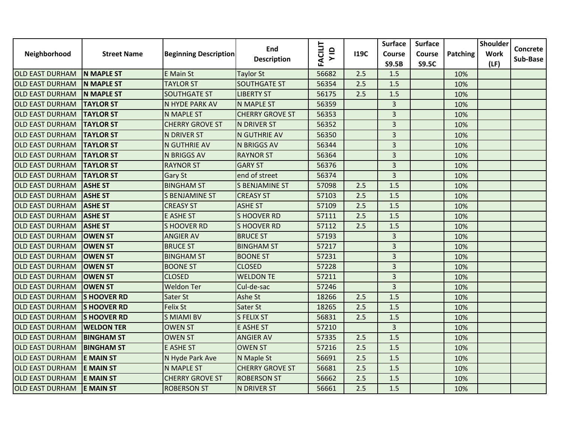|                        |                    |                              | End                    |                        |             | <b>Surface</b>          | <b>Surface</b> |          | <b>Shoulder</b> |                      |
|------------------------|--------------------|------------------------------|------------------------|------------------------|-------------|-------------------------|----------------|----------|-----------------|----------------------|
| Neighborhood           | <b>Street Name</b> | <b>Beginning Description</b> |                        | <b>FACILIT</b><br>V ID | <b>I19C</b> | Course                  | Course         | Patching | <b>Work</b>     | Concrete<br>Sub-Base |
|                        |                    |                              | <b>Description</b>     |                        |             | <b>S9.5B</b>            | <b>S9.5C</b>   |          | (LF)            |                      |
| <b>OLD EAST DURHAM</b> | <b>N MAPLE ST</b>  | <b>E</b> Main St             | <b>Taylor St</b>       | 56682                  | 2.5         | 1.5                     |                | 10%      |                 |                      |
| <b>OLD EAST DURHAM</b> | <b>N MAPLE ST</b>  | <b>TAYLOR ST</b>             | <b>SOUTHGATE ST</b>    | 56354                  | 2.5         | 1.5                     |                | 10%      |                 |                      |
| <b>OLD EAST DURHAM</b> | <b>N MAPLE ST</b>  | <b>SOUTHGATE ST</b>          | <b>LIBERTY ST</b>      | 56175                  | 2.5         | 1.5                     |                | 10%      |                 |                      |
| <b>OLD EAST DURHAM</b> | <b>TAYLOR ST</b>   | N HYDE PARK AV               | <b>N MAPLE ST</b>      | 56359                  |             | $\overline{3}$          |                | 10%      |                 |                      |
| <b>OLD EAST DURHAM</b> | <b>TAYLOR ST</b>   | N MAPLE ST                   | <b>CHERRY GROVE ST</b> | 56353                  |             | $\overline{3}$          |                | 10%      |                 |                      |
| <b>OLD EAST DURHAM</b> | <b>TAYLOR ST</b>   | <b>CHERRY GROVE ST</b>       | N DRIVER ST            | 56352                  |             | 3                       |                | 10%      |                 |                      |
| <b>OLD EAST DURHAM</b> | <b>TAYLOR ST</b>   | N DRIVER ST                  | N GUTHRIE AV           | 56350                  |             | $\overline{\mathbf{3}}$ |                | 10%      |                 |                      |
| <b>OLD EAST DURHAM</b> | <b>TAYLOR ST</b>   | N GUTHRIE AV                 | N BRIGGS AV            | 56344                  |             | $\overline{3}$          |                | 10%      |                 |                      |
| <b>OLD EAST DURHAM</b> | <b>TAYLOR ST</b>   | <b>N BRIGGS AV</b>           | <b>RAYNOR ST</b>       | 56364                  |             | $\overline{3}$          |                | 10%      |                 |                      |
| <b>OLD EAST DURHAM</b> | <b>TAYLOR ST</b>   | <b>RAYNOR ST</b>             | <b>GARY ST</b>         | 56376                  |             | $\overline{3}$          |                | 10%      |                 |                      |
| <b>OLD EAST DURHAM</b> | <b>TAYLOR ST</b>   | Gary St                      | end of street          | 56374                  |             | $\overline{3}$          |                | 10%      |                 |                      |
| <b>OLD EAST DURHAM</b> | <b>ASHE ST</b>     | <b>BINGHAM ST</b>            | <b>S BENJAMINE ST</b>  | 57098                  | 2.5         | 1.5                     |                | 10%      |                 |                      |
| <b>OLD EAST DURHAM</b> | <b>ASHE ST</b>     | <b>S BENJAMINE ST</b>        | <b>CREASY ST</b>       | 57103                  | 2.5         | 1.5                     |                | 10%      |                 |                      |
| <b>OLD EAST DURHAM</b> | <b>ASHE ST</b>     | <b>CREASY ST</b>             | <b>ASHE ST</b>         | 57109                  | 2.5         | 1.5                     |                | 10%      |                 |                      |
| <b>OLD EAST DURHAM</b> | <b>ASHE ST</b>     | <b>E ASHE ST</b>             | <b>SHOOVER RD</b>      | 57111                  | 2.5         | 1.5                     |                | 10%      |                 |                      |
| <b>OLD EAST DURHAM</b> | <b>ASHE ST</b>     | <b>SHOOVER RD</b>            | <b>SHOOVER RD</b>      | 57112                  | 2.5         | 1.5                     |                | 10%      |                 |                      |
| <b>OLD EAST DURHAM</b> | <b>OWEN ST</b>     | <b>ANGIER AV</b>             | <b>BRUCE ST</b>        | 57193                  |             | $\overline{\mathbf{3}}$ |                | 10%      |                 |                      |
| <b>OLD EAST DURHAM</b> | <b>OWEN ST</b>     | <b>BRUCE ST</b>              | <b>BINGHAM ST</b>      | 57217                  |             | $\overline{3}$          |                | 10%      |                 |                      |
| <b>OLD EAST DURHAM</b> | <b>OWEN ST</b>     | <b>BINGHAM ST</b>            | <b>BOONE ST</b>        | 57231                  |             | 3                       |                | 10%      |                 |                      |
| <b>OLD EAST DURHAM</b> | <b>OWEN ST</b>     | <b>BOONE ST</b>              | <b>CLOSED</b>          | 57228                  |             | $\overline{3}$          |                | 10%      |                 |                      |
| <b>OLD EAST DURHAM</b> | <b>OWEN ST</b>     | <b>CLOSED</b>                | <b>WELDON TE</b>       | 57211                  |             | $\overline{\mathbf{3}}$ |                | 10%      |                 |                      |
| <b>OLD EAST DURHAM</b> | <b>OWEN ST</b>     | <b>Weldon Ter</b>            | Cul-de-sac             | 57246                  |             | $\overline{\mathbf{3}}$ |                | 10%      |                 |                      |
| <b>OLD EAST DURHAM</b> | <b>SHOOVER RD</b>  | Sater St                     | Ashe St                | 18266                  | 2.5         | 1.5                     |                | 10%      |                 |                      |
| <b>OLD EAST DURHAM</b> | <b>SHOOVER RD</b>  | <b>Felix St</b>              | Sater St               | 18265                  | 2.5         | 1.5                     |                | 10%      |                 |                      |
| <b>OLD EAST DURHAM</b> | <b>SHOOVER RD</b>  | <b>S MIAMI BV</b>            | S FELIX ST             | 56831                  | 2.5         | 1.5                     |                | 10%      |                 |                      |
| <b>OLD EAST DURHAM</b> | <b>WELDON TER</b>  | <b>OWEN ST</b>               | E ASHE ST              | 57210                  |             | $\overline{3}$          |                | 10%      |                 |                      |
| <b>OLD EAST DURHAM</b> | <b>BINGHAM ST</b>  | <b>OWEN ST</b>               | <b>ANGIER AV</b>       | 57335                  | 2.5         | 1.5                     |                | 10%      |                 |                      |
| <b>OLD EAST DURHAM</b> | <b>BINGHAM ST</b>  | <b>E ASHE ST</b>             | <b>OWEN ST</b>         | 57216                  | 2.5         | 1.5                     |                | 10%      |                 |                      |
| <b>OLD EAST DURHAM</b> | <b>E MAIN ST</b>   | N Hyde Park Ave              | N Maple St             | 56691                  | 2.5         | 1.5                     |                | 10%      |                 |                      |
| <b>OLD EAST DURHAM</b> | <b>E MAIN ST</b>   | <b>N MAPLE ST</b>            | <b>CHERRY GROVE ST</b> | 56681                  | 2.5         | 1.5                     |                | 10%      |                 |                      |
| <b>OLD EAST DURHAM</b> | <b>E MAIN ST</b>   | <b>CHERRY GROVE ST</b>       | <b>ROBERSON ST</b>     | 56662                  | 2.5         | 1.5                     |                | 10%      |                 |                      |
| <b>OLD EAST DURHAM</b> | <b>E MAIN ST</b>   | <b>ROBERSON ST</b>           | N DRIVER ST            | 56661                  | 2.5         | 1.5                     |                | 10%      |                 |                      |